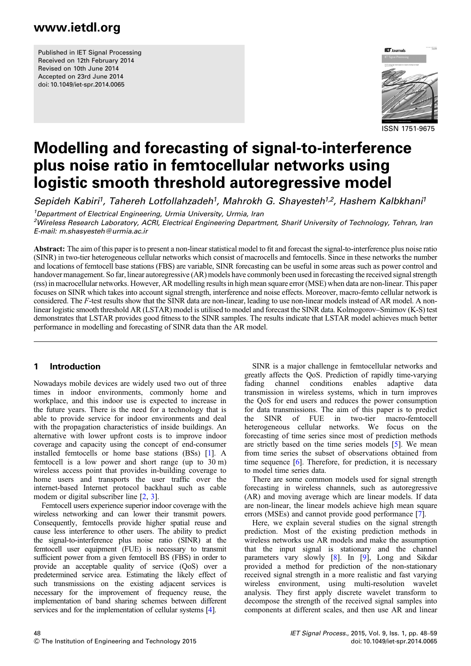Published in IET Signal Processing Received on 12th February 2014 Revised on 10th June 2014 Accepted on 23rd June 2014 doi: 10.1049/iet-spr.2014.0065



ISSN 1751-9675

# Modelling and forecasting of signal-to-interference plus noise ratio in femtocellular networks using logistic smooth threshold autoregressive model

Sepideh Kabiri<sup>1</sup>, Tahereh Lotfollahzadeh<sup>1</sup>, Mahrokh G. Shayesteh<sup>1,2</sup>, Hashem Kalbkhani<sup>1</sup>

<sup>1</sup>Department of Electrical Engineering, Urmia University, Urmia, Iran

<sup>2</sup>Wireless Research Laboratory, ACRI, Electrical Engineering Department, Sharif University of Technology, Tehran, Iran E-mail: m.shasyesteh@urmia.ac.ir

Abstract: The aim of this paper is to present a non-linear statistical model to fit and forecast the signal-to-interference plus noise ratio (SINR) in two-tier heterogeneous cellular networks which consist of macrocells and femtocells. Since in these networks the number and locations of femtocell base stations (FBS) are variable, SINR forecasting can be useful in some areas such as power control and handover management. So far, linear autoregressive (AR) models have commonly been used in forecasting the received signal strength (rss) in macrocellular networks. However, AR modelling results in high mean square error (MSE) when data are non-linear. This paper focuses on SINR which takes into account signal strength, interference and noise effects. Moreover, macro-femto cellular network is considered. The F-test results show that the SINR data are non-linear, leading to use non-linear models instead of AR model. A nonlinear logistic smooth threshold AR (LSTAR) model is utilised to model and forecast the SINR data. Kolmogorov–Smirnov (K-S) test demonstrates that LSTAR provides good fitness to the SINR samples. The results indicate that LSTAR model achieves much better performance in modelling and forecasting of SINR data than the AR model.

### 1 Introduction

Nowadays mobile devices are widely used two out of three times in indoor environments, commonly home and workplace, and this indoor use is expected to increase in the future years. There is the need for a technology that is able to provide service for indoor environments and deal with the propagation characteristics of inside buildings. An alternative with lower upfront costs is to improve indoor coverage and capacity using the concept of end-consumer installed femtocells or home base stations (BSs) [1]. A femtocell is a low power and short range (up to 30 m) wireless access point that provides in-building coverage to home users and transports the user traffic over the internet-based Internet protocol backhaul such as cable modem or digital subscriber line [2, 3].

Femtocell users experience superior indoor coverage with the wireless networking and can lower their transmit powers. Consequently, femtocells provide higher spatial reuse and cause less interference to other users. The ability to predict the signal-to-interference plus noise ratio (SINR) at the femtocell user equipment (FUE) is necessary to transmit sufficient power from a given femtocell BS (FBS) in order to provide an acceptable quality of service (QoS) over a predetermined service area. Estimating the likely effect of such transmissions on the existing adjacent services is necessary for the improvement of frequency reuse, the implementation of band sharing schemes between different services and for the implementation of cellular systems [4].

SINR is a major challenge in femtocellular networks and greatly affects the QoS. Prediction of rapidly time-varying fading channel conditions enables adaptive data transmission in wireless systems, which in turn improves the QoS for end users and reduces the power consumption for data transmissions. The aim of this paper is to predict the SINR of FUE in two-tier macro-femtocell heterogeneous cellular networks. We focus on the forecasting of time series since most of prediction methods are strictly based on the time series models [5]. We mean from time series the subset of observations obtained from time sequence [6]. Therefore, for prediction, it is necessary to model time series data.

There are some common models used for signal strength forecasting in wireless channels, such as autoregressive (AR) and moving average which are linear models. If data are non-linear, the linear models achieve high mean square errors (MSEs) and cannot provide good performance [7].

Here, we explain several studies on the signal strength prediction. Most of the existing prediction methods in wireless networks use AR models and make the assumption that the input signal is stationary and the channel parameters vary slowly [8]. In [9], Long and Sikdar provided a method for prediction of the non-stationary received signal strength in a more realistic and fast varying wireless environment, using multi-resolution wavelet analysis. They first apply discrete wavelet transform to decompose the strength of the received signal samples into components at different scales, and then use AR and linear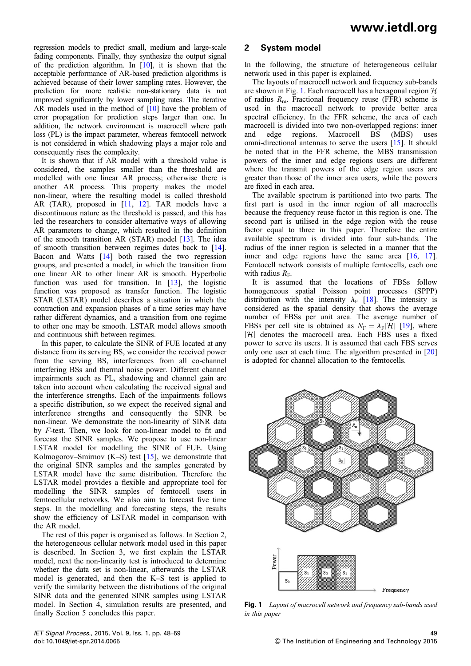regression models to predict small, medium and large-scale fading components. Finally, they synthesize the output signal of the prediction algorithm. In [10], it is shown that the acceptable performance of AR-based prediction algorithms is achieved because of their lower sampling rates. However, the prediction for more realistic non-stationary data is not improved significantly by lower sampling rates. The iterative AR models used in the method of [10] have the problem of error propagation for prediction steps larger than one. In addition, the network environment is macrocell where path loss (PL) is the impact parameter, whereas femtocell network is not considered in which shadowing plays a major role and consequently rises the complexity.

It is shown that if AR model with a threshold value is considered, the samples smaller than the threshold are modelled with one linear AR process; otherwise there is another AR process. This property makes the model non-linear, where the resulting model is called threshold AR (TAR), proposed in [11, 12]. TAR models have a discontinuous nature as the threshold is passed, and this has led the researchers to consider alternative ways of allowing AR parameters to change, which resulted in the definition of the smooth transition AR (STAR) model [13]. The idea of smooth transition between regimes dates back to [14]. Bacon and Watts [14] both raised the two regression groups, and presented a model, in which the transition from one linear AR to other linear AR is smooth. Hyperbolic function was used for transition. In [13], the logistic function was proposed as transfer function. The logistic STAR (LSTAR) model describes a situation in which the contraction and expansion phases of a time series may have rather different dynamics, and a transition from one regime to other one may be smooth. LSTAR model allows smooth and continuous shift between regimes.

In this paper, to calculate the SINR of FUE located at any distance from its serving BS, we consider the received power from the serving BS, interferences from all co-channel interfering BSs and thermal noise power. Different channel impairments such as PL, shadowing and channel gain are taken into account when calculating the received signal and the interference strengths. Each of the impairments follows a specific distribution, so we expect the received signal and interference strengths and consequently the SINR be non-linear. We demonstrate the non-linearity of SINR data by F-test. Then, we look for non-linear model to fit and forecast the SINR samples. We propose to use non-linear LSTAR model for modelling the SINR of FUE. Using Kolmogorov–Smirnov  $(K-S)$  test [15], we demonstrate that the original SINR samples and the samples generated by LSTAR model have the same distribution. Therefore the LSTAR model provides a flexible and appropriate tool for modelling the SINR samples of femtocell users in femtocellular networks. We also aim to forecast five time steps. In the modelling and forecasting steps, the results show the efficiency of LSTAR model in comparison with the AR model.

The rest of this paper is organised as follows. In Section 2, the heterogeneous cellular network model used in this paper is described. In Section 3, we first explain the LSTAR model, next the non-linearity test is introduced to determine whether the data set is non-linear, afterwards the LSTAR model is generated, and then the K–S test is applied to verify the similarity between the distributions of the original SINR data and the generated SINR samples using LSTAR model. In Section 4, simulation results are presented, and finally Section 5 concludes this paper.

### 2 System model

In the following, the structure of heterogeneous cellular network used in this paper is explained.

The layouts of macrocell network and frequency sub-bands are shown in Fig. 1. Each macrocell has a hexagonal region  $H$ of radius  $R<sub>m</sub>$ . Fractional frequency reuse (FFR) scheme is used in the macrocell network to provide better area spectral efficiency. In the FFR scheme, the area of each macrocell is divided into two non-overlapped regions: inner and edge regions. Macrocell BS (MBS) uses omni-directional antennas to serve the users [15]. It should be noted that in the FFR scheme, the MBS transmission powers of the inner and edge regions users are different where the transmit powers of the edge region users are greater than those of the inner area users, while the powers are fixed in each area.

The available spectrum is partitioned into two parts. The first part is used in the inner region of all macrocells because the frequency reuse factor in this region is one. The second part is utilised in the edge region with the reuse factor equal to three in this paper. Therefore the entire available spectrum is divided into four sub-bands. The radius of the inner region is selected in a manner that the inner and edge regions have the same area [16, 17]. Femtocell network consists of multiple femtocells, each one with radius  $R_{\rm E}$ .

It is assumed that the locations of FBSs follow homogeneous spatial Poisson point processes (SPPP) distribution with the intensity  $\lambda_F$  [18]. The intensity is considered as the spatial density that shows the average number of FBSs per unit area. The average number of FBSs per cell site is obtained as  $N_F = \lambda_F |\mathcal{H}|$  [19], where  $|\mathcal{H}|$  denotes the macrocell area. Each FBS uses a fixed power to serve its users. It is assumed that each FBS serves only one user at each time. The algorithm presented in [20] is adopted for channel allocation to the femtocells.



Fig. 1 Layout of macrocell network and frequency sub-bands used in this paper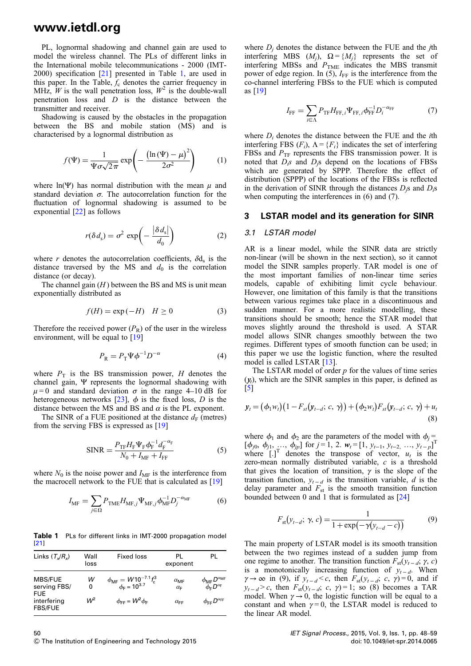PL, lognormal shadowing and channel gain are used to model the wireless channel. The PLs of different links in the International mobile telecommunications - 2000 (IMT-2000) specification [21] presented in Table 1, are used in this paper. In the Table,  $f_c$  denotes the carrier frequency in MHz, *W* is the wall penetration loss,  $W^2$  is the double-wall penetration loss and  $D$  is the distance between the transmitter and receiver.

Shadowing is caused by the obstacles in the propagation between the BS and mobile station (MS) and is characterised by a lognormal distribution as

$$
f(\Psi) = \frac{1}{\Psi \sigma \sqrt{2\pi}} \exp\left(-\frac{\left(\ln\left(\Psi\right) - \mu\right)^2}{2\sigma^2}\right) \tag{1}
$$

where  $ln(\Psi)$  has normal distribution with the mean  $\mu$  and standard deviation  $\sigma$ . The autocorrelation function for the fluctuation of lognormal shadowing is assumed to be exponential [22] as follows

$$
r(\delta d_s) = \sigma^2 \exp\left(-\frac{|\delta d_s|}{d_0}\right) \tag{2}
$$

where r denotes the autocorrelation coefficients,  $\delta d_s$  is the distance traversed by the MS and  $d_0$  is the correlation distance (or decay).

The channel gain  $(H)$  between the BS and MS is unit mean exponentially distributed as

$$
f(H) = \exp(-H) \quad H \ge 0 \tag{3}
$$

Therefore the received power  $(P_R)$  of the user in the wireless environment, will be equal to [19]

$$
P_{\rm R} = P_{\rm T} \Psi \phi^{-1} D^{-\alpha} \tag{4}
$$

where  $P<sub>T</sub>$  is the BS transmission power, H denotes the channel gain, Ψ represents the lognormal shadowing with  $\mu = 0$  and standard deviation  $\sigma$  in the range 4–10 dB for heterogeneous networks [23],  $\phi$  is the fixed loss, D is the distance between the MS and BS and  $\alpha$  is the PL exponent.

The SINR of a FUE positioned at the distance  $d_F$  (metres) from the serving FBS is expressed as [19]

$$
SINR = \frac{P_{\text{TF}} H_{\text{F}} \Psi_{\text{F}} \phi_{\text{F}}^{-1} d_{\text{F}}^{-\alpha_{\text{F}}}}{N_0 + I_{\text{MF}} + I_{\text{FF}}}
$$
(5)

where  $N_0$  is the noise power and  $I_{\text{MF}}$  is the interference from the macrocell network to the FUE that is calculated as [19]

$$
I_{\text{MF}} = \sum_{j \in \Omega} P_{\text{TME}} H_{\text{MF},j} \Psi_{\text{MF},j} \phi_{\text{MF}}^{-1} D_j^{-\alpha_{\text{MF}}} \tag{6}
$$

Table 1 PLs for different links in IMT-2000 propagation model [21]

| Links $(T_x/R_x)$                            | Wall<br>loss   | <b>Fixed loss</b>                                      | PI<br>exponent                                  | PL                                                            |
|----------------------------------------------|----------------|--------------------------------------------------------|-------------------------------------------------|---------------------------------------------------------------|
| <b>MBS/FUE</b><br>serving FBS/<br><b>FUF</b> | w<br>0         | $\phi_{MF} = W 10^{-7.1} f_c^3$<br>$\phi_F = 10^{3.7}$ | $\alpha_{\textsf{MF}}$<br>$\alpha_{\mathsf{F}}$ | $\phi_{\text{MF}} D^{\alpha_{\text{MF}}}_{\alpha_{\text{F}}}$ |
| interfering<br><b>FBS/FUE</b>                | W <sup>2</sup> | $\phi_{\text{FF}} = W^2 \phi_{\text{F}}$               | $\alpha$ FF                                     | $\phi_{\mathsf{FF}} D^{\alpha_{\mathsf{FF}}}$                 |

where  $D_i$  denotes the distance between the FUE and the *j*th interfering MBS  $(M_i)$ ,  $\Omega = \{M_i\}$  represents the set of interfering MBSs and  $P_{\text{TME}}$  indicates the MBS transmit power of edge region. In (5),  $I_{FF}$  is the interference from the co-channel interfering FBSs to the FUE which is computed as [19]

$$
I_{\rm FF} = \sum_{i \in \Lambda} P_{\rm TF} H_{\rm FF,i} \Psi_{\rm FF,i} \phi_{\rm FF}^{-1} D_i^{-\alpha_{\rm FF}} \tag{7}
$$

where  $D_i$  denotes the distance between the FUE and the *i*th interfering FBS  $(F_i)$ ,  $\Lambda = \{F_i\}$  indicates the set of interfering FBSs and  $P_{\text{TF}}$  represents the FBS transmission power. It is noted that  $D_i$ s and  $D_i$ s depend on the locations of FBSs which are generated by SPPP. Therefore the effect of distribution (SPPP) of the locations of the FBSs is reflected in the derivation of SINR through the distances  $D_i$ s and  $D_i$ s when computing the interferences in (6) and (7).

### 3 LSTAR model and its generation for SINR

#### 3.1 LSTAR model

AR is a linear model, while the SINR data are strictly non-linear (will be shown in the next section), so it cannot model the SINR samples properly. TAR model is one of the most important families of non-linear time series models, capable of exhibiting limit cycle behaviour. However, one limitation of this family is that the transitions between various regimes take place in a discontinuous and sudden manner. For a more realistic modelling, these transitions should be smooth; hence the STAR model that moves slightly around the threshold is used. A STAR model allows SINR changes smoothly between the two regimes. Different types of smooth function can be used; in this paper we use the logistic function, where the resulted model is called LSTAR [13].

The LSTAR model of order  $p$  for the values of time series  $(y_t)$ , which are the SINR samples in this paper, is defined as  $\lceil 5 \rceil$ 

$$
\mathbf{y}_{t} = (\phi_{1} w_{t})(1 - F_{st}(\mathbf{y}_{t-d}; c, \gamma)) + (\phi_{2} w_{t})F_{st}(\mathbf{y}_{t-d}; c, \gamma) + u_{t}
$$
\n(8)

where  $\phi_1$  and  $\phi_2$  are the parameters of the model with  $\phi_i =$  $[\phi_{j0}, \phi_{j1}, \dots, \phi_{jp}]$  for  $j=1, 2$ .  $w_t = [1, y_{t-1}, y_{t-2}, \dots, y_{t-p}]$ <sup>T</sup> where  $[.]^T$  denotes the transpose of vector,  $u_t$  is the zero-mean normally distributed variable, c is a threshold that gives the location of transition,  $\gamma$  is the slope of the transition function,  $y_{t-d}$  is the transition variable, d is the delay parameter and  $F_{st}$  is the smooth transition function bounded between 0 and 1 that is formulated as [24]

$$
F_{\rm st}(y_{t-d}; \gamma, c) = \frac{1}{1 + \exp(-\gamma(y_{t-d} - c))}
$$
(9)

The main property of LSTAR model is its smooth transition between the two regimes instead of a sudden jump from one regime to another. The transition function  $F_{st}(y_{t-d}; \gamma, c)$ is a monotonically increasing function of  $y_{t-d}$ . When  $\gamma \rightarrow \infty$  in (9), if  $y_{t-d} < c$ , then  $F_{st}(y_{t-d}; c, \gamma) = 0$ , and if  $y_{t-d} > c$ , then  $F_{st}(y_{t-d}; c, \gamma) = 1$ ; so (8) becomes a TAR model. When  $\gamma \rightarrow 0$ , the logistic function will be equal to a constant and when  $\gamma = 0$ , the LSTAR model is reduced to the linear AR model.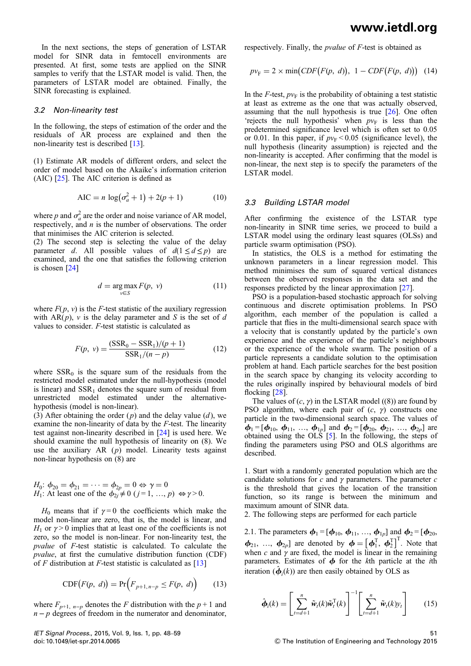In the next sections, the steps of generation of LSTAR model for SINR data in femtocell environments are presented. At first, some tests are applied on the SINR samples to verify that the LSTAR model is valid. Then, the parameters of LSTAR model are obtained. Finally, the SINR forecasting is explained.

#### 3.2 Non-linearity test

In the following, the steps of estimation of the order and the residuals of AR process are explained and then the non-linearity test is described [13].

(1) Estimate AR models of different orders, and select the order of model based on the Akaike's information criterion (AIC) [25]. The AIC criterion is defined as

$$
AIC = n \log(\sigma_a^2 + 1) + 2(p + 1)
$$
 (10)

where p and  $\sigma_a^2$  are the order and noise variance of AR model, respectively, and n is the number of observations. The order that minimises the AIC criterion is selected.

(2) The second step is selecting the value of the delay parameter d. All possible values of  $d(1 \le d \le p)$  are examined, and the one that satisfies the following criterion is chosen [24]

$$
d = \underset{\nu \in S}{\arg \max} F(p, \nu) \tag{11}
$$

where  $F(p, v)$  is the F-test statistic of the auxiliary regression with AR(p), v is the delay parameter and S is the set of d values to consider. F-test statistic is calculated as

$$
F(p, v) = \frac{(SSR_0 - SSR_1)/(p + 1)}{SSR_1/(n - p)}
$$
(12)

where  $SSR_0$  is the square sum of the residuals from the restricted model estimated under the null-hypothesis (model is linear) and  $SSR<sub>1</sub>$  denotes the square sum of residual from unrestricted model estimated under the alternativehypothesis (model is non-linear).

(3) After obtaining the order  $(p)$  and the delay value  $(d)$ , we examine the non-linearity of data by the F-test. The linearity test against non-linearity described in [24] is used here. We should examine the null hypothesis of linearity on (8). We use the auxiliary  $AR(p)$  model. Linearity tests against non-linear hypothesis on (8) are

$$
H_0: \phi_{20} = \phi_{21} = \cdots = \phi_{2p} = 0 \Leftrightarrow \gamma = 0
$$
  
H<sub>1</sub>: At least one of the  $\phi_{2j} \neq 0$  (*j* = 1, ..., *p*)  $\Leftrightarrow \gamma > 0$ .

 $H_0$  means that if  $\gamma = 0$  the coefficients which make the model non-linear are zero, that is, the model is linear, and  $H_1$  or  $\gamma > 0$  implies that at least one of the coefficients is not zero, so the model is non-linear. For non-linearity test, the pvalue of F-test statistic is calculated. To calculate the pvalue, at first the cumulative distribution function (CDF) of F distribution at F-test statistic is calculated as  $[13]$ 

$$
\text{CDF}(F(p, d)) = \Pr\Big(F_{p+1, n-p} \le F(p, d)\Big) \tag{13}
$$

where  $F_{p+1, n-p}$  denotes the F distribution with the  $p+1$  and  $n - p$  degrees of freedom in the numerator and denominator, respectively. Finally, the pvalue of F-test is obtained as

$$
pv_{\rm F} = 2 \times \min(CDF(F(p, d)), \ 1 - CDF(F(p, d))) \quad (14)
$$

In the F-test,  $pv_F$  is the probability of obtaining a test statistic at least as extreme as the one that was actually observed, assuming that the null hypothesis is true  $[26]$ . One often 'rejects the null hypothesis' when  $pv_F$  is less than the predetermined significance level which is often set to 0.05 or 0.01. In this paper, if  $pv_F < 0.05$  (significance level), the null hypothesis (linearity assumption) is rejected and the non-linearity is accepted. After confirming that the model is non-linear, the next step is to specify the parameters of the LSTAR model.

### 3.3 Building LSTAR model

After confirming the existence of the LSTAR type non-linearity in SINR time series, we proceed to build a LSTAR model using the ordinary least squares (OLSs) and particle swarm optimisation (PSO).

In statistics, the OLS is a method for estimating the unknown parameters in a linear regression model. This method minimises the sum of squared vertical distances between the observed responses in the data set and the responses predicted by the linear approximation [27].

PSO is a population-based stochastic approach for solving continuous and discrete optimisation problems. In PSO algorithm, each member of the population is called a particle that flies in the multi-dimensional search space with a velocity that is constantly updated by the particle's own experience and the experience of the particle's neighbours or the experience of the whole swarm. The position of a particle represents a candidate solution to the optimisation problem at hand. Each particle searches for the best position in the search space by changing its velocity according to the rules originally inspired by behavioural models of bird flocking [28].

The values of  $(c, \gamma)$  in the LSTAR model  $((8))$  are found by PSO algorithm, where each pair of  $(c, \gamma)$  constructs one particle in the two-dimensional search space. The values of  $\phi_1 = [\phi_{10}, \phi_{11}, ..., \phi_{1p}]$  and  $\phi_2 = [\phi_{20}, \phi_{21}, ..., \phi_{2p}]$  are obtained using the OLS [5]. In the following, the steps of finding the parameters using PSO and OLS algorithms are described.

1. Start with a randomly generated population which are the candidate solutions for c and  $\gamma$  parameters. The parameter c is the threshold that gives the location of the transition function, so its range is between the minimum and maximum amount of SINR data.

2. The following steps are performed for each particle

2.1. The parameters  $\phi_1 = [\phi_{10}, \phi_{11}, ..., \phi_{1p}]$  and  $\phi_2 = [\phi_{20},$  $\boldsymbol{\phi}_{21}, \ldots, \boldsymbol{\phi}_{2p}$  are denoted by  $\boldsymbol{\phi} = \left[\boldsymbol{\phi}_1^T, \boldsymbol{\phi}_2^T\right]^T$ . Note that when c and  $\gamma$  are fixed, the model is linear in the remaining parameters. Estimates of  $\phi$  for the kth particle at the *i*th iteration  $(\hat{\boldsymbol{\phi}}_i(k))$  are then easily obtained by OLS as

$$
\hat{\boldsymbol{\phi}}_t(k) = \left[ \sum_{t=d+1}^n \tilde{\boldsymbol{\psi}}_t(k) \tilde{\boldsymbol{\psi}}_t^{\mathrm{T}}(k) \right]^{-1} \left[ \sum_{t=d+1}^n \tilde{\boldsymbol{\psi}}_t(k) y_t \right] \tag{15}
$$

51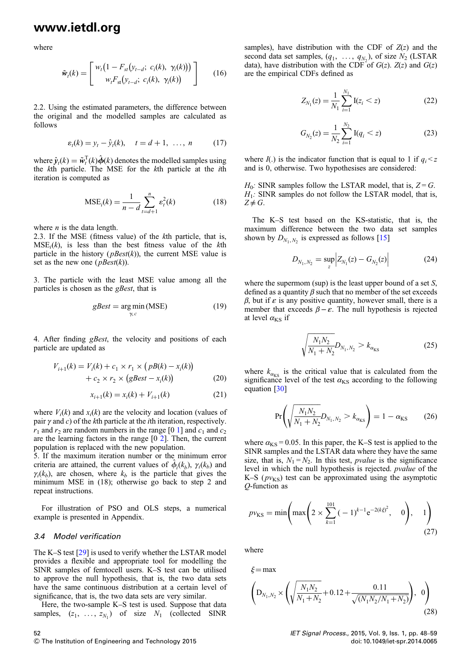where

$$
\tilde{\boldsymbol{w}}_t(k) = \begin{bmatrix} w_t \big( 1 - F_{st} \big( y_{t-d}; \ c_i(k), \ \gamma_i(k) \big) \big) \\ w_t F_{st} \big( y_{t-d}; \ c_i(k), \ \gamma_i(k) \big) \end{bmatrix} \tag{16}
$$

2.2. Using the estimated parameters, the difference between the original and the modelled samples are calculated as follows

$$
\varepsilon_t(k) = y_t - \hat{y}_t(k), \quad t = d + 1, \dots, n
$$
 (17)

where  $\hat{y}_t(k) = \tilde{w}_t^{\mathrm{T}}(k)\hat{\boldsymbol{\phi}}(k)$  denotes the modelled samples using the kth particle. The MSE for the kth particle at the ith iteration is computed as

$$
MSE_i(k) = \frac{1}{n - d} \sum_{t=d+1}^{n} \varepsilon_t^2(k)
$$
 (18)

where  $n$  is the data length.

2.3. If the MSE (fitness value) of the kth particle, that is,  $MSE<sub>i</sub>(k)$ , is less than the best fitness value of the kth particle in the history ( $pBest(k)$ ), the current MSE value is set as the new one  $(pBest(k))$ .

3. The particle with the least MSE value among all the particles is chosen as the *gBest*, that is

$$
gBest = \underset{\gamma, c}{\arg \min} \, (MSE) \tag{19}
$$

4. After finding *gBest*, the velocity and positions of each particle are updated as

$$
V_{i+1}(k) = V_i(k) + c_1 \times r_1 \times (pB(k) - x_i(k))
$$
  
+ 
$$
c_2 \times r_2 \times (gBest - x_i(k))
$$
 (20)

$$
x_{i+1}(k) = x_i(k) + V_{i+1}(k)
$$
 (21)

where  $V_i(k)$  and  $x_i(k)$  are the velocity and location (values of pair  $\gamma$  and c) of the kth particle at the *i*th iteration, respectively.  $r_1$  and  $r_2$  are random numbers in the range [0 1] and  $c_1$  and  $c_2$ are the learning factors in the range [0 2]. Then, the current population is replaced with the new population.

5. If the maximum iteration number or the minimum error criteria are attained, the current values of  $\hat{\phi}_i(k_b)$ ,  $\gamma_i(k_b)$  and  $\gamma_i(k_b)$ , are chosen, where  $k_b$  is the particle that gives the minimum MSE in (18); otherwise go back to step 2 and repeat instructions.

For illustration of PSO and OLS steps, a numerical example is presented in Appendix.

#### 3.4 Model verification

The K–S test [29] is used to verify whether the LSTAR model provides a flexible and appropriate tool for modelling the SINR samples of femtocell users. K–S test can be utilised to approve the null hypothesis, that is, the two data sets have the same continuous distribution at a certain level of significance, that is, the two data sets are very similar.

Here, the two-sample K–S test is used. Suppose that data samples,  $(z_1, \ldots, z_{N_1})$  of size  $N_1$  (collected SINR

samples), have distribution with the CDF of  $Z(z)$  and the second data set samples,  $(q_1, \ldots, q_{N_2})$ , of size  $N_2$  (LSTAR data), have distribution with the CDF of  $G(z)$ .  $Z(z)$  and  $G(z)$ are the empirical CDFs defined as

$$
Z_{N_1}(z) = \frac{1}{N_1} \sum_{i=1}^{N_1} I(z_i < z) \tag{22}
$$

$$
G_{N_2}(z) = \frac{1}{N_2} \sum_{i=1}^{N_2} \mathrm{I}(q_i < z) \tag{23}
$$

where  $I(.)$  is the indicator function that is equal to 1 if  $q_i < z$ and is 0, otherwise. Two hypothesises are considered:

 $H_0$ : SINR samples follow the LSTAR model, that is,  $Z = G$ .  $H_1$ : SINR samples do not follow the LSTAR model, that is,  $Z \neq G$ .

The K–S test based on the KS-statistic, that is, the maximum difference between the two data set samples shown by  $D_{N_1,N_2}$  is expressed as follows [15]

$$
D_{N_1,N_2} = \sup_z \Big| Z_{N_1}(z) - G_{N_2}(z) \Big| \tag{24}
$$

where the supermom (sup) is the least upper bound of a set  $S$ , defined as a quantity  $\beta$  such that no member of the set exceeds  $β$ , but if  $ε$  is any positive quantity, however small, there is a member that exceeds  $\beta - \varepsilon$ . The null hypothesis is rejected at level  $\alpha_{\rm KS}$  if

$$
\sqrt{\frac{N_1 N_2}{N_1 + N_2}} D_{N_1, N_2} > k_{\alpha_{\rm KS}}
$$
\n(25)

where  $k_{\alpha_{\text{KS}}}$  is the critical value that is calculated from the significance level of the test  $\alpha_{\text{KS}}$  according to the following equation [30]

$$
\Pr\left(\sqrt{\frac{N_1 N_2}{N_1 + N_2}} D_{N_1, N_2} > k_{\alpha_{\rm KS}}\right) = 1 - \alpha_{\rm KS} \tag{26}
$$

where  $\alpha_{\rm KS}$  = 0.05. In this paper, the K–S test is applied to the SINR samples and the LSTAR data where they have the same size, that is,  $N_1 = N_2$ . In this test, *pvalue* is the significance level in which the null hypothesis is rejected. pvalue of the K–S ( $pv_{KS}$ ) test can be approximated using the asymptotic Q-function as

$$
pv_{\text{KS}} = \min\left(\max\left(2 \times \sum_{k=1}^{101} (-1)^{k-1} e^{-2(k\xi)^2}, 0\right), 1\right)
$$
(27)

where

 $\xi$ = max

$$
\left(\mathcal{D}_{N_1,N_2} \times \left(\sqrt{\frac{N_1 N_2}{N_1 + N_2}} + 0.12 + \frac{0.11}{\sqrt{(N_1 N_2 / N_1 + N_2)}}\right), 0\right)
$$
\n(28)

IET Signal Process., 2015, Vol. 9, Iss. 1, pp. 48–59 doi: 10.1049/iet-spr.2014.0065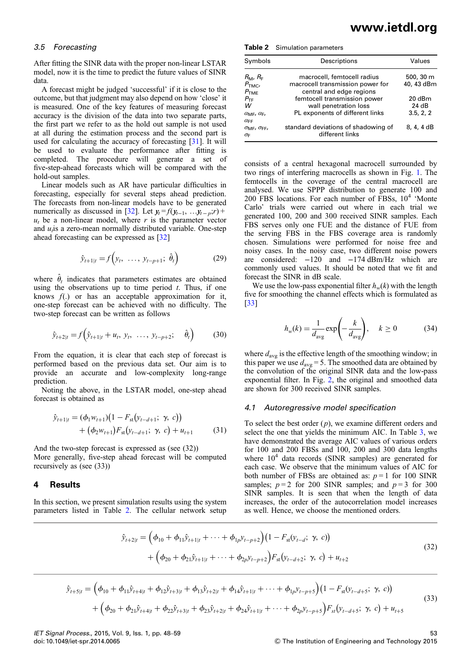#### 3.5 Forecasting

After fitting the SINR data with the proper non-linear LSTAR model, now it is the time to predict the future values of SINR data.

A forecast might be judged 'successful' if it is close to the outcome, but that judgment may also depend on how 'close' it is measured. One of the key features of measuring forecast accuracy is the division of the data into two separate parts, the first part we refer to as the hold out sample is not used at all during the estimation process and the second part is used for calculating the accuracy of forecasting [31]. It will be used to evaluate the performance after fitting is completed. The procedure will generate a set of five-step-ahead forecasts which will be compared with the hold-out samples.

Linear models such as AR have particular difficulties in forecasting, especially for several steps ahead prediction. The forecasts from non-linear models have to be generated numerically as discussed in [32]. Let  $y_t = f(y_{t-1}, \ldots, y_{t-p}; r)$ +  $u_t$  be a non-linear model, where r is the parameter vector and  $u_t$  is a zero-mean normally distributed variable. One-step ahead forecasting can be expressed as [32]

$$
\hat{y}_{t+1|t} = f(y_t, \ \dots, \ y_{t-p+1}; \ \hat{\theta}_t)
$$
 (29)

where  $\hat{\theta}_t$  indicates that parameters estimates are obtained using the observations up to time period  $t$ . Thus, if one knows  $f(.)$  or has an acceptable approximation for it, one-step forecast can be achieved with no difficulty. The two-step forecast can be written as follows

$$
\hat{y}_{t+2|t} = f(\hat{y}_{t+1|t} + u_t, y_t, \dots, y_{t-p+2}; \quad \hat{\theta}_t)
$$
 (30)

From the equation, it is clear that each step of forecast is performed based on the previous data set. Our aim is to provide an accurate and low-complexity long-range prediction.

Noting the above, in the LSTAR model, one-step ahead forecast is obtained as

$$
\hat{y}_{t+1|t} = (\phi_1 w_{t+1}) (1 - F_{st}(y_{t-d+1}; \gamma, c)) \n+ (\phi_2 w_{t+1}) F_{st}(y_{t-d+1}; \gamma, c) + u_{t+1}
$$
\n(31)

And the two-step forecast is expressed as (see (32)) More generally, five-step ahead forecast will be computed recursively as (see (33))

#### 4 Results

In this section, we present simulation results using the system parameters listed in Table 2. The cellular network setup

Table 2 Simulation parameters

| Symbols                                                               | Descriptions                                                 | Values          |
|-----------------------------------------------------------------------|--------------------------------------------------------------|-----------------|
| $R_{\rm M}$ , $R_{\rm F}$                                             | macrocell, femtocell radius                                  | 500, 30 m       |
| $P_{TMC}$<br>$P_{\text{TME}}$                                         | macrocell transmission power for<br>central and edge regions | 40, 43 dBm      |
| $P_{\rm TF}$<br>W                                                     | femtocell transmission power<br>wall penetration loss        | 20 dBm<br>24 dB |
| $\alpha_{\text{MF}}$ , $\alpha_{\text{F}}$ ,<br>$\alpha$ FF           | PL exponents of different links                              | 3.5, 2, 2       |
| $\sigma_{\textsf{MF}}$ , $\sigma_{\textsf{FF}}$ ,<br>$\sigma_{\rm F}$ | standard deviations of shadowing of<br>different links       | $8, 4, 4$ dB    |

consists of a central hexagonal macrocell surrounded by two rings of interfering macrocells as shown in Fig. 1. The femtocells in the coverage of the central macrocell are analysed. We use SPPP distribution to generate 100 and 200 FBS locations. For each number of FBSs,  $10^4$  'Monte Carlo' trials were carried out where in each trial we generated 100, 200 and 300 received SINR samples. Each FBS serves only one FUE and the distance of FUE from the serving FBS in the FBS coverage area is randomly chosen. Simulations were performed for noise free and noisy cases. In the noisy case, two different noise powers are considered: −120 and −174 dBm/Hz which are commonly used values. It should be noted that we fit and forecast the SINR in dB scale.

We use the low-pass exponential filter  $h_w(k)$  with the length five for smoothing the channel effects which is formulated as [33]

$$
h_w(k) = \frac{1}{d_{\text{avg}}} \exp\left(-\frac{k}{d_{\text{avg}}}\right), \quad k \ge 0 \tag{34}
$$

where  $d_{avg}$  is the effective length of the smoothing window; in this paper we use  $d_{avg} = 5$ . The smoothed data are obtained by the convolution of the original SINR data and the low-pass exponential filter. In Fig. 2, the original and smoothed data are shown for 300 received SINR samples.

#### 4.1 Autoregressive model specification

To select the best order  $(p)$ , we examine different orders and select the one that yields the minimum AIC. In Table 3, we have demonstrated the average AIC values of various orders for 100 and 200 FBSs and 100, 200 and 300 data lengths where  $10^4$  data records (SINR samples) are generated for each case. We observe that the minimum values of AIC for both number of FBSs are obtained as:  $p = 1$  for 100 SINR samples;  $p = 2$  for 200 SINR samples; and  $p = 3$  for 300 SINR samples. It is seen that when the length of data increases, the order of the autocorrelation model increases as well. Hence, we choose the mentioned orders.

$$
\hat{y}_{t+2|t} = (\phi_{10} + \phi_{11}\hat{y}_{t+1|t} + \dots + \phi_{1p}\hat{y}_{t-p+2})(1 - F_{st}(y_{t-d}; \gamma, c)) \n+ (\phi_{20} + \phi_{21}\hat{y}_{t+1|t} + \dots + \phi_{2p}\hat{y}_{t-p+2})F_{st}(y_{t-d+2}; \gamma, c) + u_{t+2}
$$
\n(32)

$$
\hat{y}_{t+5|t} = \left(\phi_{10} + \phi_{11}\hat{y}_{t+4|t} + \phi_{12}\hat{y}_{t+3|t} + \phi_{13}\hat{y}_{t+2|t} + \phi_{14}\hat{y}_{t+1|t} + \cdots + \phi_{1p}\hat{y}_{t-p+5}\right)\left(1 - F_{\text{st}}(y_{t-d+5}; \gamma, c)\right) \n+ \left(\phi_{20} + \phi_{21}\hat{y}_{t+4|t} + \phi_{22}\hat{y}_{t+3|t} + \phi_{23}\hat{y}_{t+2|t} + \phi_{24}\hat{y}_{t+1|t} + \cdots + \phi_{2p}\hat{y}_{t-p+5}\right)F_{\text{st}}(y_{t-d+5}; \gamma, c) + u_{t+5}
$$
\n(33)

IET Signal Process., 2015, Vol. 9, Iss. 1, pp. 48–59 doi: 10.1049/iet-spr.2014.0065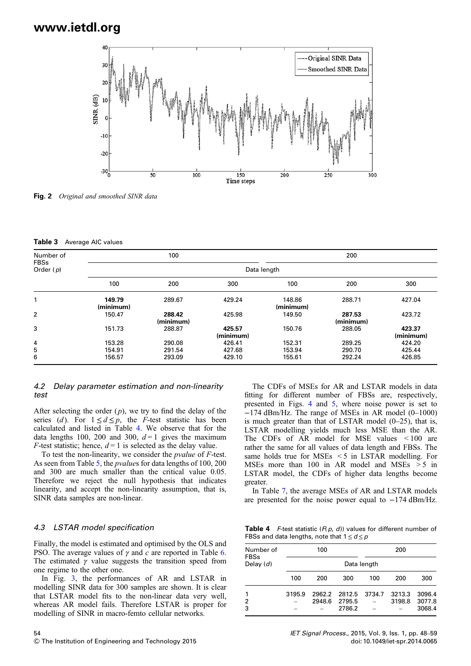

Fig. 2 Original and smoothed SINR data

#### Table 3 Average AIC values

| Number of<br><b>FBSs</b> |                     | 100                 |                     |                     | 200                 |                     |
|--------------------------|---------------------|---------------------|---------------------|---------------------|---------------------|---------------------|
| Order $(p)$              |                     |                     |                     | Data length         |                     |                     |
|                          | 100                 | 200                 | 300                 | 100                 | 200                 | 300                 |
| 1                        | 149.79<br>(minimum) | 289.67              | 429.24              | 148.86<br>(minimum) | 288.71              | 427.04              |
| $\overline{2}$           | 150.47              | 288.42<br>(minimum) | 425.98              | 149.50              | 287.53<br>(minimum) | 423.72              |
| 3                        | 151.73              | 288.87              | 425.57<br>(minimum) | 150.76              | 288.05              | 423.37<br>(minimum) |
| 4<br>5                   | 153.28<br>154.91    | 290.08<br>291.54    | 426.41<br>427.68    | 152.31<br>153.94    | 289.25<br>290.70    | 424.20<br>425.44    |
| 6                        | 156.57              | 293.09              | 429.10              | 155.61              | 292.24              | 426.85              |

### 4.2 Delay parameter estimation and non-linearity test

After selecting the order  $(p)$ , we try to find the delay of the series (d). For  $1 \leq d \leq p$ , the F-test statistic has been calculated and listed in Table 4. We observe that for the data lengths 100, 200 and 300,  $d=1$  gives the maximum *F*-test statistic; hence,  $d = 1$  is selected as the delay value.

To test the non-linearity, we consider the pvalue of F-test. As seen from Table 5, the *pvalues* for data lengths of 100, 200 and 300 are much smaller than the critical value 0.05. Therefore we reject the null hypothesis that indicates linearity, and accept the non-linearity assumption, that is, SINR data samples are non-linear.

#### 4.3 LSTAR model specification

Finally, the model is estimated and optimised by the OLS and PSO. The average values of  $\gamma$  and c are reported in Table 6. The estimated  $\gamma$  value suggests the transition speed from one regime to the other one.

In Fig. 3, the performances of AR and LSTAR in modelling SINR data for 300 samples are shown. It is clear that LSTAR model fits to the non-linear data very well, whereas AR model fails. Therefore LSTAR is proper for modelling of SINR in macro-femto cellular networks.

The CDFs of MSEs for AR and LSTAR models in data fitting for different number of FBSs are, respectively, presented in Figs. 4 and 5, where noise power is set to −174 dBm/Hz. The range of MSEs in AR model (0–1000) is much greater than that of LSTAR model (0–25), that is, LSTAR modelling yields much less MSE than the AR. The CDFs of AR model for MSE values < 100 are rather the same for all values of data length and FBSs. The same holds true for MSEs  $\leq$  5 in LSTAR modelling. For MSEs more than 100 in AR model and MSEs  $> 5$  in LSTAR model, the CDFs of higher data lengths become greater.

In Table 7, the average MSEs of AR and LSTAR models are presented for the noise power equal to −174 dBm/Hz.

**Table 4** F-test statistic  $(F(p, d))$  values for different number of FBSs and data lengths, note that  $1 \le d \le p$ 

| Number of                  |        | 100    |        | 200         |        |        |  |
|----------------------------|--------|--------|--------|-------------|--------|--------|--|
| <b>FBSs</b><br>Delay $(d)$ |        |        |        | Data length |        |        |  |
|                            | 100    | 200    | 300    | 100         | 200    | 300    |  |
| 1                          | 3195.9 | 2962.2 | 2812.5 | 3734.7      | 3213.3 | 3096.4 |  |
| 2                          |        | 2948.6 | 2795.5 |             | 3198.8 | 3077.8 |  |
| 3                          |        |        | 2786.2 |             |        | 3068.4 |  |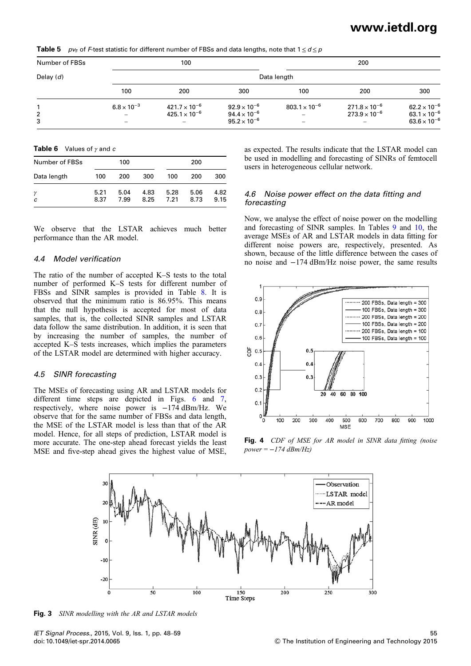**Table 5** pv<sub>F</sub> of F-test statistic for different number of FBSs and data lengths, note that  $1 \le d \le p$ 

| Number of FBSs                      |                      | 100                                                          |                                                                         |                                                    | 200                                              |                                                                                  |
|-------------------------------------|----------------------|--------------------------------------------------------------|-------------------------------------------------------------------------|----------------------------------------------------|--------------------------------------------------|----------------------------------------------------------------------------------|
| Delay $(d)$                         |                      |                                                              |                                                                         | Data length                                        |                                                  |                                                                                  |
|                                     | 100                  | 200                                                          | 300                                                                     | 100                                                | 200                                              | 300                                                                              |
| $\mathbf{1}$<br>$\overline{2}$<br>3 | $6.8 \times 10^{-3}$ | $421.7 \times 10^{-6}$<br>$425.1 \times 10^{-6}$<br>$\equiv$ | $92.9 \times 10^{-6}$<br>$94.4 \times 10^{-6}$<br>$95.2 \times 10^{-6}$ | $803.1 \times 10^{-6}$<br>$\overline{\phantom{m}}$ | $271.8 \times 10^{-6}$<br>$273.9 \times 10^{-6}$ | $62.2 \times 10^{-6}$<br>63.1 $\times$ 10 <sup>-6</sup><br>$63.6 \times 10^{-6}$ |

**Table 6** Values of  $\gamma$  and c

| Number of FBSs |              | 100          |              |              | 200          |              |
|----------------|--------------|--------------|--------------|--------------|--------------|--------------|
| Data length    | 100          | 200          | 300          | 100          | 200          | 300          |
| γ<br>c         | 5.21<br>8.37 | 5.04<br>7.99 | 4.83<br>8.25 | 5.28<br>7.21 | 5.06<br>8.73 | 4.82<br>9.15 |

We observe that the LSTAR achieves much better performance than the AR model.

### 4.4 Model verification

The ratio of the number of accepted K–S tests to the total number of performed K–S tests for different number of FBSs and SINR samples is provided in Table 8. It is observed that the minimum ratio is 86.95%. This means that the null hypothesis is accepted for most of data samples, that is, the collected SINR samples and LSTAR data follow the same distribution. In addition, it is seen that by increasing the number of samples, the number of accepted K–S tests increases, which implies the parameters of the LSTAR model are determined with higher accuracy.

#### 4.5 SINR forecasting

The MSEs of forecasting using AR and LSTAR models for different time steps are depicted in Figs. 6 and 7, respectively, where noise power is −174 dBm/Hz. We observe that for the same number of FBSs and data length, the MSE of the LSTAR model is less than that of the AR model. Hence, for all steps of prediction, LSTAR model is more accurate. The one-step ahead forecast yields the least MSE and five-step ahead gives the highest value of MSE,

as expected. The results indicate that the LSTAR model can be used in modelling and forecasting of SINRs of femtocell users in heterogeneous cellular network.

#### 4.6 Noise power effect on the data fitting and forecasting

Now, we analyse the effect of noise power on the modelling and forecasting of SINR samples. In Tables 9 and 10, the average MSEs of AR and LSTAR models in data fitting for different noise powers are, respectively, presented. As shown, because of the little difference between the cases of no noise and −174 dBm/Hz noise power, the same results



Fig. 4 CDF of MSE for AR model in SINR data fitting (noise  $power = -174$  dBm/Hz)



Fig. 3 SINR modelling with the AR and LSTAR models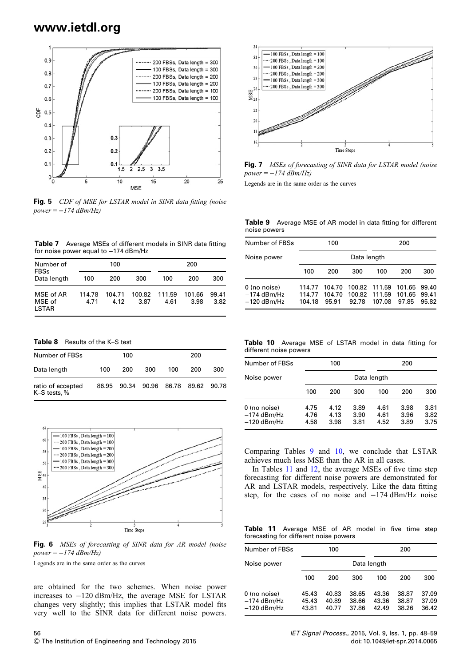

Fig. 5 CDF of MSE for LSTAR model in SINR data fitting (noise  $power = -174$  dBm/Hz)



Fig. 7 MSEs of forecasting of SINR data for LSTAR model (noise  $power = -174$  dBm/Hz)

Legends are in the same order as the curves

Table 9 Average MSE of AR model in data fitting for different noise powers

| Number of FBSs                                 |                            | 100                       |             |                                          | 200                       |                         |
|------------------------------------------------|----------------------------|---------------------------|-------------|------------------------------------------|---------------------------|-------------------------|
| Noise power                                    |                            |                           | Data length |                                          |                           |                         |
|                                                | 100                        | 200                       | 300         | 100                                      | 200                       | 300                     |
| 0 (no noise)<br>$-174$ dBm/Hz<br>$-120$ dBm/Hz | 114.77<br>114.77<br>104.18 | 104.70<br>104.70<br>95.91 | 92.78       | 100.82 111.59<br>100.82 111.59<br>107.08 | 101.65<br>101.65<br>97.85 | 99.40<br>99.41<br>95.82 |

Table 7 Average MSEs of different models in SINR data fitting for noise power equal to −174 dBm/Hz

| Number of<br><b>FBSs</b>     |                | 100            |                |                | 200            |               |
|------------------------------|----------------|----------------|----------------|----------------|----------------|---------------|
| Data length                  | 100            | 200            | 300            | 100            | 200            | 300           |
| MSE of AR<br>MSE of<br>LSTAR | 114.78<br>4.71 | 104.71<br>4.12 | 100.82<br>3.87 | 111.59<br>4.61 | 101.66<br>3.98 | 99.41<br>3.82 |

Table 8 Results of the K-S test

| Number of FBSs                        |     | 100                                 |     |     | 200 |     |
|---------------------------------------|-----|-------------------------------------|-----|-----|-----|-----|
| Data length                           | 100 | 200                                 | 300 | 100 | 200 | 300 |
| ratio of accepted<br>$K-S$ tests, $%$ |     | 86.95 90.34 90.96 86.78 89.62 90.78 |     |     |     |     |



Fig. 6 MSEs of forecasting of SINR data for AR model (noise  $power = -174$  dBm/Hz)

Legends are in the same order as the curves

are obtained for the two schemes. When noise power increases to −120 dBm/Hz, the average MSE for LSTAR changes very slightly; this implies that LSTAR model fits very well to the SINR data for different noise powers.

Table 10 Average MSE of LSTAR model in data fitting for different noise powers

| Number of FBSs                                 |                      | 100                  |                      |                      | 200                  |                      |
|------------------------------------------------|----------------------|----------------------|----------------------|----------------------|----------------------|----------------------|
| Noise power                                    |                      |                      |                      | Data length          |                      |                      |
|                                                | 100                  | 200                  | 300                  | 100                  | 200                  | 300                  |
| 0 (no noise)<br>$-174$ dBm/Hz<br>$-120$ dBm/Hz | 4.75<br>4.76<br>4.58 | 4.12<br>4.13<br>3.98 | 3.89<br>3.90<br>3.81 | 4.61<br>4.61<br>4.52 | 3.98<br>3.96<br>3.89 | 3.81<br>3.82<br>3.75 |

Comparing Tables 9 and 10, we conclude that LSTAR achieves much less MSE than the AR in all cases.

In Tables 11 and 12, the average MSEs of five time step forecasting for different noise powers are demonstrated for AR and LSTAR models, respectively. Like the data fitting step, for the cases of no noise and −174 dBm/Hz noise

Table 11 Average MSE of AR model in five time step forecasting for different noise powers

| Number of FBSs                                 |                         | 100                     |                         |                         | 200                     |                         |
|------------------------------------------------|-------------------------|-------------------------|-------------------------|-------------------------|-------------------------|-------------------------|
| Noise power                                    |                         |                         |                         | Data length             |                         |                         |
|                                                | 100                     | 200                     | 300                     | 100                     | 200                     | 300                     |
| 0 (no noise)<br>$-174$ dBm/Hz<br>$-120$ dBm/Hz | 45.43<br>45.43<br>43.81 | 40.83<br>40.89<br>40.77 | 38.65<br>38.66<br>37.86 | 43.36<br>43.36<br>42.49 | 38.87<br>38.87<br>38.26 | 37.09<br>37.09<br>36.42 |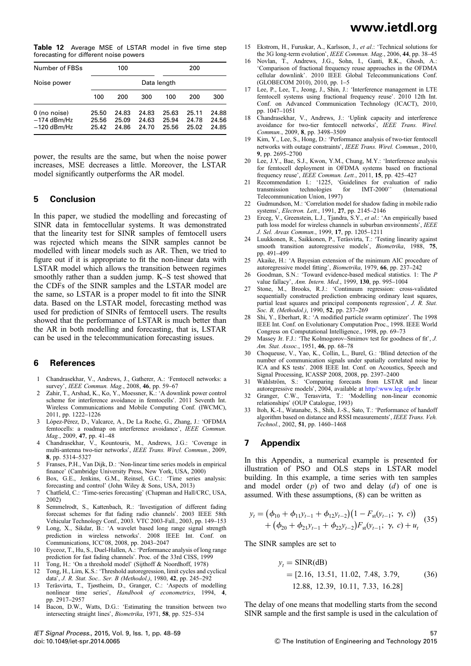Table 12 Average MSE of LSTAR model in five time step forecasting for different noise powers

| Number of FBSs                                 |                         | 100                     |                         |                         | 200                     |                         |  |
|------------------------------------------------|-------------------------|-------------------------|-------------------------|-------------------------|-------------------------|-------------------------|--|
| Noise power                                    |                         | Data length             |                         |                         |                         |                         |  |
|                                                | 100                     | 200                     | 300                     | 100                     | 200                     | 300                     |  |
| 0 (no noise)<br>$-174$ dBm/Hz<br>$-120$ dBm/Hz | 25.50<br>25.56<br>25.42 | 24.83<br>25.09<br>24.86 | 24.83<br>24.63<br>24.70 | 25.63<br>25.94<br>25.56 | 25.11<br>24.78<br>25.02 | 24.88<br>24.56<br>24.85 |  |

power, the results are the same, but when the noise power increases, MSE decreases a little. Moreover, the LSTAR model significantly outperforms the AR model.

#### 5 Conclusion

In this paper, we studied the modelling and forecasting of SINR data in femtocellular systems. It was demonstrated that the linearity test for SINR samples of femtocell users was rejected which means the SINR samples cannot be modelled with linear models such as AR. Then, we tried to figure out if it is appropriate to fit the non-linear data with LSTAR model which allows the transition between regimes smoothly rather than a sudden jump. K–S test showed that the CDFs of the SINR samples and the LSTAR model are the same, so LSTAR is a proper model to fit into the SINR data. Based on the LSTAR model, forecasting method was used for prediction of SINRs of femtocell users. The results showed that the performance of LSTAR is much better than the AR in both modelling and forecasting, that is, LSTAR can be used in the telecommunication forecasting issues.

#### 6 References

- 1 Chandrasekhar, V., Andrews, J., Gatherer, A.: 'Femtocell networks: a survey', IEEE Commun. Mag., 2008, 46, pp. 59–67
- 2 Zahir, T., Arshad, K., Ko, Y., Moessner, K.: 'A downlink power control scheme for interference avoidance in femtocells'. 2011 Seventh Int. Wireless Communications and Mobile Computing Conf. (IWCMC), 2011, pp. 1222–1226
- 3 López-Pérez, D., Valcarce, A., De La Roche, G., Zhang, J.: 'OFDMA femtocells: a roadmap on interference avoidance', IEEE Commun. Mag., 2009, 47, pp. 41–48
- 4 Chandrasekhar, V., Kountouris, M., Andrews, J.G.: 'Coverage in multi-antenna two-tier networks', IEEE Trans. Wirel. Commun., 2009, 8, pp. 5314–5327
- 5 Franses, P.H., Van Dijk, D.: 'Non-linear time series models in empirical finance' (Cambridge University Press, New York, USA, 2000)
- 6 Box, G.E., Jenkins, G.M., Reinsel, G.C.: 'Time series analysis: forecasting and control' (John Wiley & Sons, USA, 2013)
- 7 Chatfield, C.: 'Time-series forecasting' (Chapman and Hall/CRC, USA, 2002)
- 8 Semmelrodt, S., Kattenbach, R.: 'Investigation of different fading forecast schemes for flat fading radio channels'. 2003 IEEE 58th Vehicular Technology Conf., 2003. VTC 2003-Fall., 2003, pp. 149–153
- Long, X., Sikdar, B.: 'A wavelet based long range signal strength prediction in wireless networks'. 2008 IEEE Int. Conf. on Communications, ICC'08, 2008, pp. 2043–2047
- 10 Eyceoz, T., Hu, S., Duel-Hallen, A.: 'Performance analysis of long range prediction for fast fading channels'. Proc. of the 33rd CISS, 1999
- 11 Tong, H.: 'On a threshold model' (Sijthoff & Noordhoff, 1978)
- 12 Tong, H., Lim, K.S.: 'Threshold autoregression, limit cycles and cyclical data', J. R. Stat. Soc.. Ser. B (Methodol.), 1980, 42, pp. 245–292
- 13 Teräsvirta, T., Tjøstheim, D., Granger, C.: 'Aspects of modelling nonlinear time series', Handbook of econometrics, 1994, 4, pp. 2917–2957
- 14 Bacon, D.W., Watts, D.G.: 'Estimating the transition between two intersecting straight lines', Biometrika, 1971, 58, pp. 525–534

# www.ietdl.org

- 15 Ekstrom, H., Furuskar, A., Karlsson, J., et al.: 'Technical solutions for the 3G long-term evolution', IEEE Commun. Mag., 2006, 44, pp. 38–45
- 16 Novlan, T., Andrews, J.G., Sohn, I., Ganti, R.K., Ghosh, A.: 'Comparison of fractional frequency reuse approaches in the OFDMA cellular downlink'. 2010 IEEE Global Telecommunications Conf. (GLOBECOM 2010), 2010, pp. 1–5
- 17 Lee, P., Lee, T., Jeong, J., Shin, J.: 'Interference management in LTE femtocell systems using fractional frequency reuse'. 2010 12th Int. Conf. on Advanced Communication Technology (ICACT), 2010, pp. 1047–1051
- 18 Chandrasekhar, V., Andrews, J.: 'Uplink capacity and interference avoidance for two-tier femtocell networks', IEEE Trans. Wirel. Commun., 2009, 8, pp. 3498–3509
- Kim, Y., Lee, S., Hong, D.: 'Performance analysis of two-tier femtocell networks with outage constraints', IEEE Trans. Wirel. Commun., 2010, 9, pp. 2695–2700
- 20 Lee, J.Y., Bae, S.J., Kwon, Y.M., Chung, M.Y.: 'Interference analysis for femtocell deployment in OFDMA systems based on fractional frequency reuse', IEEE Commun. Lett., 2011, 15, pp. 425–427
- 21 Recommendation I.: '1225, 'Guidelines for evaluation of radio transmission technologies for IMT-2000'' (International Telecommunication Union, 1997)
- 22 Gudmundson, M.: 'Correlation model for shadow fading in mobile radio systems', Electron. Lett., 1991, 27, pp. 2145–2146
- 23 Erceg, V., Greenstein, L.J., Tjandra, S.Y., et al.: 'An empirically based path loss model for wireless channels in suburban environments', IEEE J. Sel. Areas Commun., 1999, 17, pp. 1205–1211
- 24 Luukkonen, R., Saikkonen, P., Teräsvirta, T.: 'Testing linearity against smooth transition autoregressive models', Biometrika, 1988, 75, pp. 491–499
- 25 Akaike, H.: 'A Bayesian extension of the minimum AIC procedure of autoregressive model fitting', Biometrika, 1979, 66, pp. 237–242
- Goodman, S.N.: 'Toward evidence-based medical statistics. 1: The P value fallacy', Ann. Intern. Med., 1999, 130, pp. 995–1004
- 27 Stone, M., Brooks, R.J.: 'Continuum regression: cross-validated sequentially constructed prediction embracing ordinary least squares, partial least squares and principal components regression', J. R. Stat. Soc. B, (Methodol.), 1990, 52, pp. 237–269
- 28 Shi, Y., Eberhart, R.: 'A modified particle swarm optimizer'. The 1998 IEEE Int. Conf. on Evolutionary Computation Proc., 1998. IEEE World Congress on Computational Intelligence., 1998, pp. 69–73
- 29 Massey Jr. F.J.: 'The Kolmogorov–Smirnov test for goodness of fit', J. Am. Stat. Assoc., 1951, 46, pp. 68-78
- 30 Choqueuse, V., Yao, K., Collin, L., Burel, G.: 'Blind detection of the number of communication signals under spatially correlated noise by ICA and KS tests'. 2008 IEEE Int. Conf. on Acoustics, Speech and Signal Processing, ICASSP 2008, 2008, pp. 2397–2400
- Wahlström, S.: 'Comparing forecasts from LSTAR and linear autoregressive models', 2004, available at http//:www.leg.ufpr.br
- 32 Granger, C.W., Terasvirta, T.: 'Modelling non-linear economic relationships' (OUP Catalogue, 1993)
- 33 Itoh, K.-I., Watanabe, S., Shih, J.-S., Sato, T.: 'Performance of handoff algorithm based on distance and RSSI measurements', IEEE Trans. Veh. Technol., 2002, 51, pp. 1460–1468

### 7 Appendix

In this Appendix, a numerical example is presented for illustration of PSO and OLS steps in LSTAR model building. In this example, a time series with ten samples and model order  $(p)$  of two and delay  $(d)$  of one is assumed. With these assumptions, (8) can be written as

$$
y_t = (\phi_{10} + \phi_{11}y_{t-1} + \phi_{12}y_{t-2})(1 - F_{st}(y_{t-1}; \gamma, c)) + (\phi_{20} + \phi_{21}y_{t-1} + \phi_{22}y_{t-2})F_{st}(y_{t-1}; \gamma, c) + u_t
$$
 (35)

The SINR samples are set to

$$
y_t = \text{SINR}(\text{dB})
$$
  
= [2.16, 13.51, 11.02, 7.48, 3.79, 12.88, 12.39, 10.11, 7.33, 16.28]

The delay of one means that modelling starts from the second SINR sample and the first sample is used in the calculation of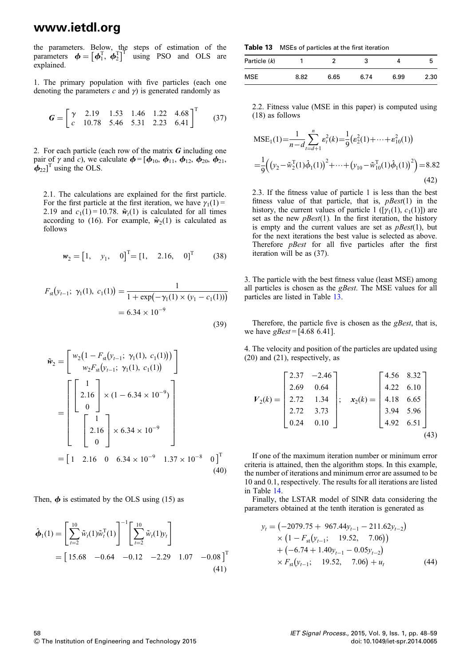the parameters. Below, the steps of estimation of the parameters  $\boldsymbol{\phi} = \begin{bmatrix} \boldsymbol{\phi}_1^{\text{T}}, \ \boldsymbol{\phi}_2^{\text{T}} \end{bmatrix}$ using PSO and OLS are explained.

1. The primary population with five particles (each one denoting the parameters c and  $\gamma$ ) is generated randomly as

$$
G = \begin{bmatrix} \gamma & 2.19 & 1.53 & 1.46 & 1.22 & 4.68 \\ c & 10.78 & 5.46 & 5.31 & 2.23 & 6.41 \end{bmatrix}^{T} \tag{37}
$$

2. For each particle (each row of the matrix  $G$  including one pair of  $\gamma$  and c), we calculate  $\boldsymbol{\phi} = [\boldsymbol{\phi}_{10}, \boldsymbol{\phi}_{11}, \boldsymbol{\phi}_{12}, \boldsymbol{\phi}_{20}, \boldsymbol{\phi}_{21},$  $\left[\boldsymbol{\phi}_{22}\right]^{\text{T}}$  using the OLS.

2.1. The calculations are explained for the first particle. For the first particle at the first iteration, we have  $\gamma_1(1) =$ 2.19 and  $c_1(1) = 10.78$ .  $\tilde{w}_t(1)$  is calculated for all times according to (16). For example,  $\tilde{w}_2(1)$  is calculated as follows

$$
w_2 = [1, y_1, 0]^T = [1, 2.16, 0]^T
$$
 (38)

$$
F_{\rm st}(y_{t-1}; \ \gamma_1(1), \ c_1(1)) = \frac{1}{1 + \exp(-\gamma_1(1) \times (y_1 - c_1(1)))}
$$

$$
= 6.34 \times 10^{-9}
$$
(39)

$$
\tilde{w}_2 = \begin{bmatrix} w_2 \left( 1 - F_{\text{st}} \left( y_{t-1}; \ \gamma_1(1), \ c_1(1) \right) \right) \\ w_2 F_{\text{st}} \left( y_{t-1}; \ \gamma_1(1), \ c_1(1) \right) \end{bmatrix}
$$

$$
= \begin{bmatrix} 1 \\ 2.16 \\ 0 \\ 1 \end{bmatrix} \times (1 - 6.34 \times 10^{-9})
$$

$$
= \begin{bmatrix} 1 \\ 2.16 \\ 0 \end{bmatrix} \times 6.34 \times 10^{-9}
$$

$$
= \begin{bmatrix} 1 & 2.16 & 0 & 6.34 \times 10^{-9} & 1.37 \times 10^{-8} & 0 \end{bmatrix}^T
$$
(40)

Then,  $\phi$  is estimated by the OLS using (15) as

$$
\hat{\boldsymbol{\phi}}_1(1) = \left[ \sum_{t=2}^{10} \tilde{w}_t(1) \tilde{w}_t^{\mathrm{T}}(1) \right]^{-1} \left[ \sum_{t=2}^{10} \tilde{w}_t(1) y_t \right]
$$
\n
$$
= \left[ 15.68 \quad -0.64 \quad -0.12 \quad -2.29 \quad 1.07 \quad -0.08 \right]^{\mathrm{T}} \tag{41}
$$

Table 13 MSEs of particles at the first iteration

| Particle (k) |      |      |      |      | b    |
|--------------|------|------|------|------|------|
| MSE          | 8.82 | 6.65 | 6.74 | 6.99 | 2.30 |

2.2. Fitness value (MSE in this paper) is computed using (18) as follows

$$
MSE_1(1) = \frac{1}{n-d} \sum_{t=d+1}^{n} \varepsilon_t^2(k) = \frac{1}{9} (\varepsilon_2^2(1) + \dots + \varepsilon_{10}^2(1))
$$
  
=  $\frac{1}{9} ((y_2 - \tilde{w}_2^T(1)\hat{\phi}_1(1))^2 + \dots + (y_{10} - \tilde{w}_{10}^T(1)\hat{\phi}_1(1))^2) = 8.82$  (42)

2.3. If the fitness value of particle 1 is less than the best fitness value of that particle, that is,  $pBest(1)$  in the history, the current values of particle 1 ([ $\gamma_1(1)$ ,  $c_1(1)$ ]) are set as the new  $pBest(1)$ . In the first iteration, the history is empty and the current values are set as  $pBest(1)$ , but for the next iterations the best value is selected as above. Therefore pBest for all five particles after the first iteration will be as (37).

3. The particle with the best fitness value (least MSE) among all particles is chosen as the gBest. The MSE values for all particles are listed in Table 13.

Therefore, the particle five is chosen as the  $gBest$ , that is, we have  $gBest = [4.68 6.41]$ .

4. The velocity and position of the particles are updated using (20) and (21), respectively, as

$$
V_2(k) = \begin{bmatrix} 2.37 & -2.46 \\ 2.69 & 0.64 \\ 2.72 & 1.34 \\ 2.72 & 3.73 \\ 0.24 & 0.10 \end{bmatrix}; \quad \mathbf{x}_2(k) = \begin{bmatrix} 4.56 & 8.32 \\ 4.22 & 6.10 \\ 4.18 & 6.65 \\ 3.94 & 5.96 \\ 4.92 & 6.51 \end{bmatrix}
$$
(43)

If one of the maximum iteration number or minimum error criteria is attained, then the algorithm stops. In this example, the number of iterations and minimum error are assumed to be 10 and 0.1, respectively. The results for all iterations are listed in Table 14.

Finally, the LSTAR model of SINR data considering the parameters obtained at the tenth iteration is generated as

$$
y_t = (-2079.75 + 967.44y_{t-1} - 211.62y_{t-2})
$$
  
\n
$$
\times (1 - F_{st}(y_{t-1}; 19.52, 7.06))
$$
  
\n
$$
+ (-6.74 + 1.40y_{t-1} - 0.05y_{t-2})
$$
  
\n
$$
\times F_{st}(y_{t-1}; 19.52, 7.06) + u_t
$$
 (44)